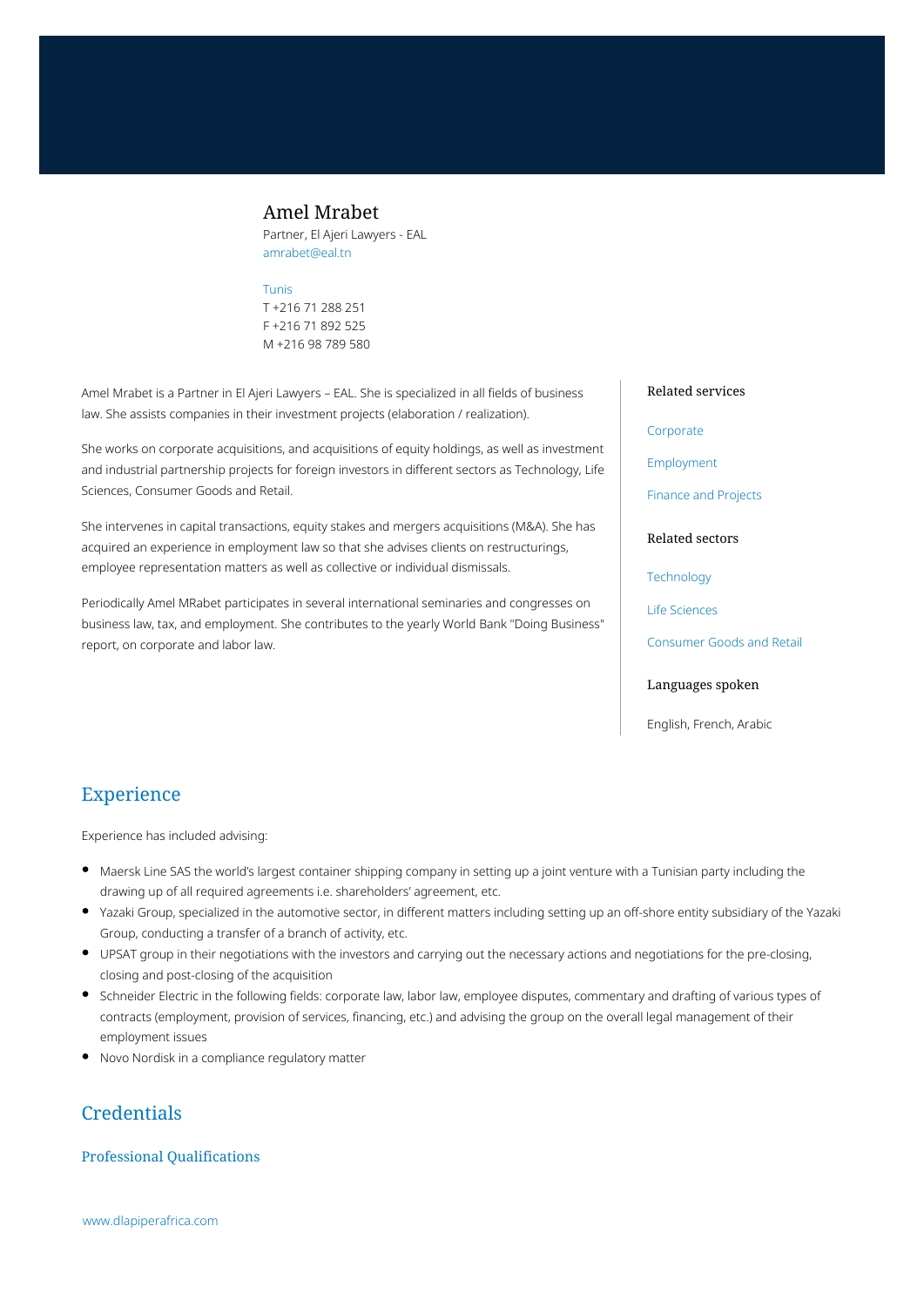# Amel Mrabet

Partner, El Ajeri Lawyers - EAL amrabet@eal.tn

### [Tunis](https://www.dlapiperafrica.com/tunisia/locations/tunis.html)

T +216 71 288 251 F +216 71 892 525 M +216 98 789 580

Amel Mrabet is a Partner in El Ajeri Lawyers – EAL. She is specialized in all fields of business law. She assists companies in their investment projects (elaboration / realization).

She works on corporate acquisitions, and acquisitions of equity holdings, as well as investment and industrial partnership projects for foreign investors in different sectors as Technology, Life Sciences, Consumer Goods and Retail.

She intervenes in capital transactions, equity stakes and mergers acquisitions (M&A). She has acquired an experience in employment law so that she advises clients on restructurings, employee representation matters as well as collective or individual dismissals.

Periodically Amel MRabet participates in several international seminaries and congresses on business law, tax, and employment. She contributes to the yearly World Bank "Doing Business" report, on corporate and labor law.

### Related services

#### [Corporate](https://www.dlapiperafrica.com/en/tunisia/services/corporate.html)

[Employment](https://www.dlapiperafrica.com/en/tunisia/services/employment.html)

[Finance and Projects](https://www.dlapiperafrica.com/en/tunisia/services/finance-and-projects.html)

### Related sectors

**[Technology](https://www.dlapiperafrica.com/en/tunisia/sectors/technology.html)** 

[Life Sciences](https://www.dlapiperafrica.com/en/tunisia/sectors/life-sciences.html)

[Consumer Goods and Retail](https://www.dlapiperafrica.com/en/tunisia/sectors/consumer-goods-and-retail.html)

### Languages spoken

English, French, Arabic

# Experience

Experience has included advising:

- Maersk Line SAS the world's largest container shipping company in setting up a joint venture with a Tunisian party including the drawing up of all required agreements i.e. shareholders' agreement, etc.
- Yazaki Group, specialized in the automotive sector, in different matters including setting up an off-shore entity subsidiary of the Yazaki Group, conducting a transfer of a branch of activity, etc.
- UPSAT group in their negotiations with the investors and carrying out the necessary actions and negotiations for the pre-closing, closing and post-closing of the acquisition
- Schneider Electric in the following fields: corporate law, labor law, employee disputes, commentary and drafting of various types of contracts (employment, provision of services, financing, etc.) and advising the group on the overall legal management of their employment issues
- Novo Nordisk in a compliance regulatory matter

# **Credentials**

## Professional Qualifications